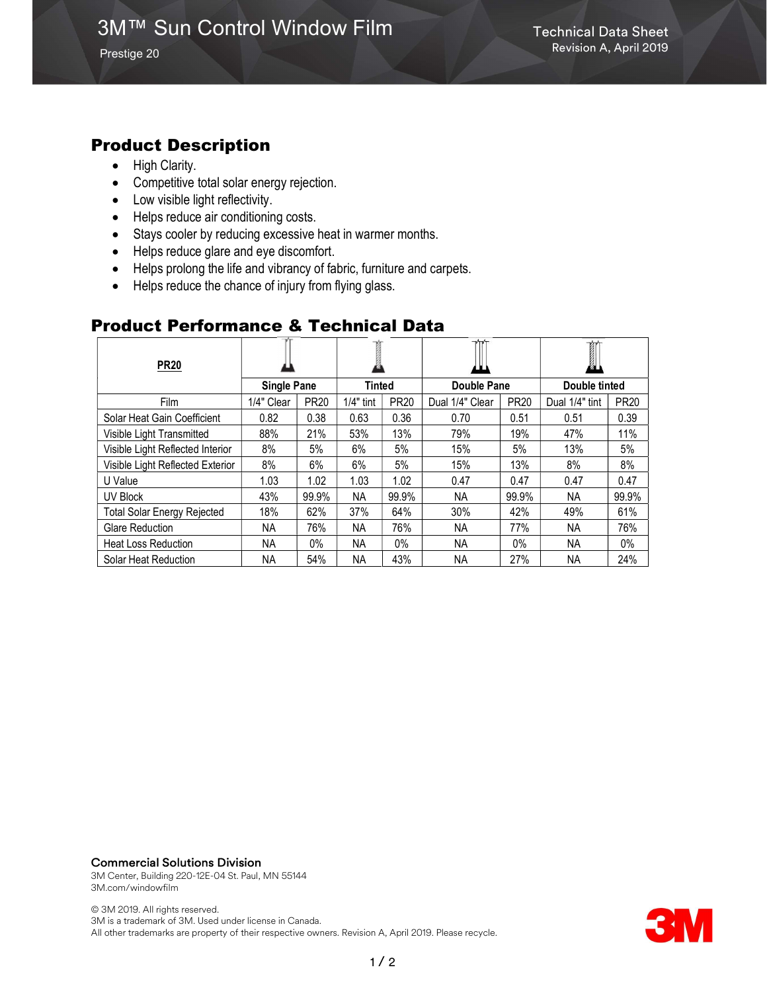# 3M™ Sun Control Window Film Technical Data Sheet

Prestige 20

## Product Description

- High Clarity.
- Competitive total solar energy rejection.
- Low visible light reflectivity.
- Helps reduce air conditioning costs.
- Stays cooler by reducing excessive heat in warmer months.
- Helps reduce glare and eye discomfort.
- Helps prolong the life and vibrancy of fabric, furniture and carpets.
- Helps reduce the chance of injury from flying glass.

## Product Performance & Technical Data

| <b>PR20</b>                        |                    |             |               |             | $\mathbf{v}$    |             | I              |             |
|------------------------------------|--------------------|-------------|---------------|-------------|-----------------|-------------|----------------|-------------|
|                                    | <b>Single Pane</b> |             | <b>Tinted</b> |             | Double Pane     |             | Double tinted  |             |
| Film                               | 1/4" Clear         | <b>PR20</b> | $1/4"$ tint   | <b>PR20</b> | Dual 1/4" Clear | <b>PR20</b> | Dual 1/4" tint | <b>PR20</b> |
| Solar Heat Gain Coefficient        | 0.82               | 0.38        | 0.63          | 0.36        | 0.70            | 0.51        | 0.51           | 0.39        |
| Visible Light Transmitted          | 88%                | 21%         | 53%           | 13%         | 79%             | 19%         | 47%            | 11%         |
| Visible Light Reflected Interior   | 8%                 | 5%          | 6%            | 5%          | 15%             | 5%          | 13%            | 5%          |
| Visible Light Reflected Exterior   | 8%                 | 6%          | 6%            | 5%          | 15%             | 13%         | 8%             | 8%          |
| U Value                            | 1.03               | 1.02        | 1.03          | 1.02        | 0.47            | 0.47        | 0.47           | 0.47        |
| UV Block                           | 43%                | 99.9%       | NA.           | 99.9%       | NA.             | 99.9%       | NA.            | 99.9%       |
| <b>Total Solar Energy Rejected</b> | 18%                | 62%         | 37%           | 64%         | 30%             | 42%         | 49%            | 61%         |
| <b>Glare Reduction</b>             | NA.                | 76%         | NA            | 76%         | NA.             | 77%         | NA.            | 76%         |
| <b>Heat Loss Reduction</b>         | NA.                | 0%          | NА            | $0\%$       | NA              | 0%          | NA.            | $0\%$       |
| Solar Heat Reduction               | NA.                | 54%         | NA            | 43%         | <b>NA</b>       | 27%         | ΝA             | 24%         |

#### Commercial Solutions Division

3M Center, Building 220-12E-04 St. Paul, MN 55144 3M.com/windowfilm

© 3M 2019. All rights reserved. 3M is a trademark of 3M. Used under license in Canada. All other trademarks are property of their respective owners. Revision A, April 2019. Please recycle.